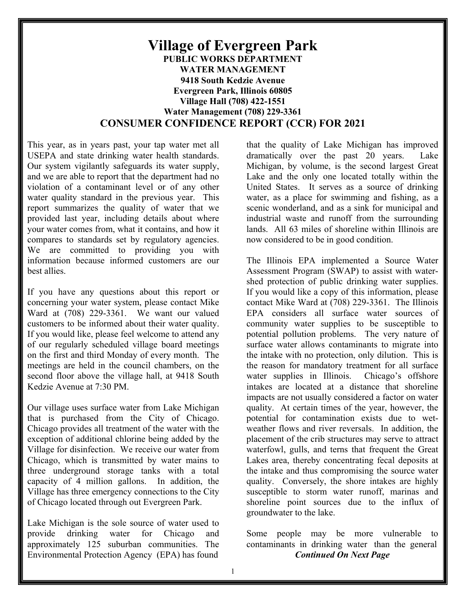## **Village of Evergreen Park PUBLIC WORKS DEPARTMENT WATER MANAGEMENT 9418 South Kedzie Avenue Evergreen Park, Illinois 60805 Village Hall (708) 422-1551 Water Management (708) 229-3361 CONSUMER CONFIDENCE REPORT (CCR) FOR 2021**

This year, as in years past, your tap water met all USEPA and state drinking water health standards. Our system vigilantly safeguards its water supply, and we are able to report that the department had no violation of a contaminant level or of any other water quality standard in the previous year. This report summarizes the quality of water that we provided last year, including details about where your water comes from, what it contains, and how it compares to standards set by regulatory agencies. We are committed to providing you with information because informed customers are our best allies.

If you have any questions about this report or concerning your water system, please contact Mike Ward at (708) 229-3361. We want our valued customers to be informed about their water quality. If you would like, please feel welcome to attend any of our regularly scheduled village board meetings on the first and third Monday of every month. The meetings are held in the council chambers, on the second floor above the village hall, at 9418 South Kedzie Avenue at 7:30 PM.

Our village uses surface water from Lake Michigan that is purchased from the City of Chicago. Chicago provides all treatment of the water with the exception of additional chlorine being added by the Village for disinfection. We receive our water from Chicago, which is transmitted by water mains to three underground storage tanks with a total capacity of 4 million gallons. In addition, the Village has three emergency connections to the City of Chicago located through out Evergreen Park.

Lake Michigan is the sole source of water used to provide drinking water for Chicago and approximately 125 suburban communities. The Environmental Protection Agency (EPA) has found

that the quality of Lake Michigan has improved dramatically over the past 20 years. Lake Michigan, by volume, is the second largest Great Lake and the only one located totally within the United States. It serves as a source of drinking water, as a place for swimming and fishing, as a scenic wonderland, and as a sink for municipal and industrial waste and runoff from the surrounding lands. All 63 miles of shoreline within Illinois are now considered to be in good condition.

The Illinois EPA implemented a Source Water Assessment Program (SWAP) to assist with watershed protection of public drinking water supplies. If you would like a copy of this information, please contact Mike Ward at (708) 229-3361. The Illinois EPA considers all surface water sources of community water supplies to be susceptible to potential pollution problems. The very nature of surface water allows contaminants to migrate into the intake with no protection, only dilution. This is the reason for mandatory treatment for all surface water supplies in Illinois. Chicago's offshore intakes are located at a distance that shoreline impacts are not usually considered a factor on water quality. At certain times of the year, however, the potential for contamination exists due to wetweather flows and river reversals. In addition, the placement of the crib structures may serve to attract waterfowl, gulls, and terns that frequent the Great Lakes area, thereby concentrating fecal deposits at the intake and thus compromising the source water quality. Conversely, the shore intakes are highly susceptible to storm water runoff, marinas and shoreline point sources due to the influx of groundwater to the lake.

Some people may be more vulnerable to contaminants in drinking water than the general *Continued On Next Page*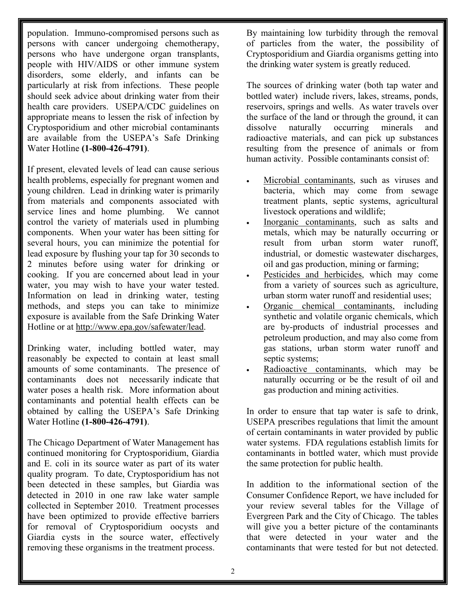population. Immuno-compromised persons such as persons with cancer undergoing chemotherapy, persons who have undergone organ transplants, people with HIV/AIDS or other immune system disorders, some elderly, and infants can be particularly at risk from infections. These people should seek advice about drinking water from their health care providers. USEPA/CDC guidelines on appropriate means to lessen the risk of infection by Cryptosporidium and other microbial contaminants are available from the USEPA's Safe Drinking Water Hotline **(1-800-426-4791)**.

If present, elevated levels of lead can cause serious health problems, especially for pregnant women and young children. Lead in drinking water is primarily from materials and components associated with service lines and home plumbing. We cannot control the variety of materials used in plumbing components. When your water has been sitting for several hours, you can minimize the potential for lead exposure by flushing your tap for 30 seconds to 2 minutes before using water for drinking or cooking. If you are concerned about lead in your water, you may wish to have your water tested. Information on lead in drinking water, testing methods, and steps you can take to minimize exposure is available from the Safe Drinking Water Hotline or at http://www.epa.gov/safewater/lead.

Drinking water, including bottled water, may reasonably be expected to contain at least small amounts of some contaminants. The presence of contaminants does not necessarily indicate that water poses a health risk. More information about contaminants and potential health effects can be obtained by calling the USEPA's Safe Drinking Water Hotline **(1-800-426-4791)**.

The Chicago Department of Water Management has continued monitoring for Cryptosporidium, Giardia and E. coli in its source water as part of its water quality program. To date, Cryptosporidium has not been detected in these samples, but Giardia was detected in 2010 in one raw lake water sample collected in September 2010. Treatment processes have been optimized to provide effective barriers for removal of Cryptosporidium oocysts and Giardia cysts in the source water, effectively removing these organisms in the treatment process.

By maintaining low turbidity through the removal of particles from the water, the possibility of Cryptosporidium and Giardia organisms getting into the drinking water system is greatly reduced.

The sources of drinking water (both tap water and bottled water) include rivers, lakes, streams, ponds, reservoirs, springs and wells. As water travels over the surface of the land or through the ground, it can dissolve naturally occurring minerals and radioactive materials, and can pick up substances resulting from the presence of animals or from human activity. Possible contaminants consist of:

- Microbial contaminants, such as viruses and bacteria, which may come from sewage treatment plants, septic systems, agricultural livestock operations and wildlife;
- Inorganic contaminants, such as salts and metals, which may be naturally occurring or result from urban storm water runoff, industrial, or domestic wastewater discharges, oil and gas production, mining or farming;
- Pesticides and herbicides, which may come from a variety of sources such as agriculture, urban storm water runoff and residential uses;
- Organic chemical contaminants, including synthetic and volatile organic chemicals, which are by-products of industrial processes and petroleum production, and may also come from gas stations, urban storm water runoff and septic systems;
- Radioactive contaminants, which may be naturally occurring or be the result of oil and gas production and mining activities.

In order to ensure that tap water is safe to drink, USEPA prescribes regulations that limit the amount of certain contaminants in water provided by public water systems. FDA regulations establish limits for contaminants in bottled water, which must provide the same protection for public health.

In addition to the informational section of the Consumer Confidence Report, we have included for your review several tables for the Village of Evergreen Park and the City of Chicago. The tables will give you a better picture of the contaminants that were detected in your water and the contaminants that were tested for but not detected.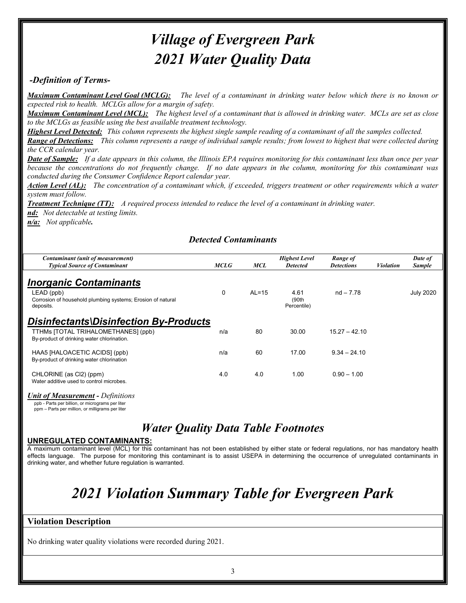# *Village of Evergreen Park 2021 Water Quality Data*

## *-Definition of Terms-*

*Maximum Contaminant Level Goal (MCLG): The level of a contaminant in drinking water below which there is no known or expected risk to health. MCLGs allow for a margin of safety.*

*Maximum Contaminant Level (MCL): The highest level of a contaminant that is allowed in drinking water. MCLs are set as close to the MCLGs as feasible using the best available treatment technology.*

*Highest Level Detected: This column represents the highest single sample reading of a contaminant of all the samples collected.* 

*Range of Detections: This column represents a range of individual sample results; from lowest to highest that were collected during the CCR calendar year.*

*Date of Sample: If a date appears in this column, the Illinois EPA requires monitoring for this contaminant less than once per year because the concentrations do not frequently change. If no date appears in the column, monitoring for this contaminant was conducted during the Consumer Confidence Report calendar year.*

*Action Level (AL): The concentration of a contaminant which, if exceeded, triggers treatment or other requirements which a water system must follow.* 

*Treatment Technique (TT): A required process intended to reduce the level of a contaminant in drinking water.*

*nd: Not detectable at testing limits.*

*n/a: Not applicable.*

## *Detected Contaminants*

| Contaminant (unit of measurement)<br><b>Typical Source of Contaminant</b>                                                      | MCLG     | <b>MCL</b> | <b>Highest Level</b><br><b>Detected</b> | Range of<br><b>Detections</b> | <b>Violation</b> | Date of<br><b>Sample</b> |
|--------------------------------------------------------------------------------------------------------------------------------|----------|------------|-----------------------------------------|-------------------------------|------------------|--------------------------|
| <i><b>Inorganic Contaminants</b></i><br>LEAD (ppb)<br>Corrosion of household plumbing systems; Erosion of natural<br>deposits. | $\Omega$ | $AL=15$    | 4.61<br>(90th)<br>Percentile)           | $nd - 7.78$                   |                  | <b>July 2020</b>         |
| Disinfectants\Disinfection By-Products<br>TTHMs [TOTAL TRIHALOMETHANES] (ppb)<br>By-product of drinking water chlorination.    | n/a      | 80         | 30.00                                   | $15.27 - 42.10$               |                  |                          |
| HAA5 [HALOACETIC ACIDS] (ppb)<br>By-product of drinking water chlorination                                                     | n/a      | 60         | 17.00                                   | $9.34 - 24.10$                |                  |                          |
| CHLORINE (as Cl2) (ppm)<br>Water additive used to control microbes.                                                            | 4.0      | 4.0        | 1.00                                    | $0.90 - 1.00$                 |                  |                          |

*Unit of Measurement - Definitions* 

ppb - Parts per billion, or micrograms per liter ppm – Parts per million, or milligrams per liter

## *Water Quality Data Table Footnotes*

## **UNREGULATED CONTAMINANTS:**

A maximum contaminant level (MCL) for this contaminant has not been established by either state or federal regulations, nor has mandatory health effects language. The purpose for monitoring this contaminant is to assist USEPA in determining the occurrence of unregulated contaminants in drinking water, and whether future regulation is warranted.

# *2021 Violation Summary Table for Evergreen Park*

## **Violation Description**

No drinking water quality violations were recorded during 2021.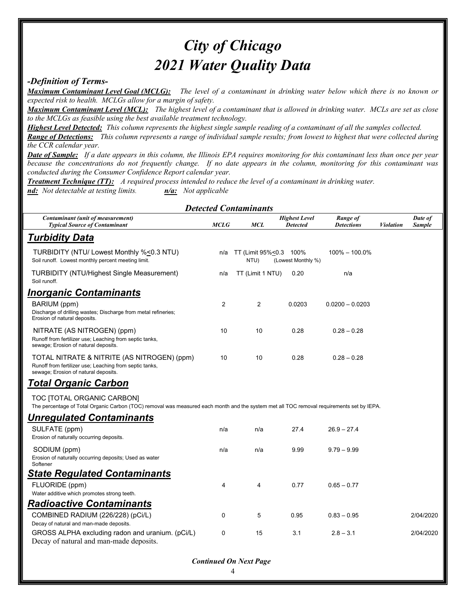# *City of Chicago 2021 Water Quality Data*

### *-Definition of Terms-*

*Maximum Contaminant Level Goal (MCLG): The level of a contaminant in drinking water below which there is no known or expected risk to health. MCLGs allow for a margin of safety.*

*Maximum Contaminant Level (MCL): The highest level of a contaminant that is allowed in drinking water. MCLs are set as close to the MCLGs as feasible using the best available treatment technology.*

*Highest Level Detected: This column represents the highest single sample reading of a contaminant of all the samples collected.* 

*Range of Detections: This column represents a range of individual sample results; from lowest to highest that were collected during the CCR calendar year.*

*Date of Sample: If a date appears in this column, the Illinois EPA requires monitoring for this contaminant less than once per year because the concentrations do not frequently change. If no date appears in the column, monitoring for this contaminant was conducted during the Consumer Confidence Report calendar year.*

*Treatment Technique (TT): A required process intended to reduce the level of a contaminant in drinking water. nd: Not detectable at testing limits. n/a: Not applicable* 

| <b>Detected Contaminants</b>                                                                                                                                            |                |                           |                                         |                               |                  |                          |  |  |  |  |  |
|-------------------------------------------------------------------------------------------------------------------------------------------------------------------------|----------------|---------------------------|-----------------------------------------|-------------------------------|------------------|--------------------------|--|--|--|--|--|
| Contaminant (unit of measurement)<br><b>Typical Source of Contaminant</b>                                                                                               | <b>MCLG</b>    | <b>MCL</b>                | <b>Highest Level</b><br><b>Detected</b> | Range of<br><b>Detections</b> | <b>Violation</b> | Date of<br><b>Sample</b> |  |  |  |  |  |
| <b>Turbidity Data</b>                                                                                                                                                   |                |                           |                                         |                               |                  |                          |  |  |  |  |  |
| TURBIDITY (NTU/ Lowest Monthly %<0.3 NTU)<br>Soil runoff. Lowest monthly percent meeting limit.                                                                         | n/a            | TT (Limit 95%<0.3<br>NTU) | 100%<br>(Lowest Monthly %)              | $100\% - 100.0\%$             |                  |                          |  |  |  |  |  |
| <b>TURBIDITY (NTU/Highest Single Measurement)</b><br>Soil runoff.                                                                                                       | n/a            | TT (Limit 1 NTU)          | 0.20                                    | n/a                           |                  |                          |  |  |  |  |  |
| Inorganic Contaminants                                                                                                                                                  |                |                           |                                         |                               |                  |                          |  |  |  |  |  |
| BARIUM (ppm)<br>Discharge of drilling wastes; Discharge from metal refineries;<br>Erosion of natural deposits.                                                          | 2              | 2                         | 0.0203                                  | $0.0200 - 0.0203$             |                  |                          |  |  |  |  |  |
| NITRATE (AS NITROGEN) (ppm)<br>Runoff from fertilizer use; Leaching from septic tanks,<br>sewage; Erosion of natural deposits.                                          | 10             | 10                        | 0.28                                    | $0.28 - 0.28$                 |                  |                          |  |  |  |  |  |
| TOTAL NITRATE & NITRITE (AS NITROGEN) (ppm)<br>Runoff from fertilizer use; Leaching from septic tanks,<br>sewage; Erosion of natural deposits.                          | 10             | 10                        | 0.28                                    | $0.28 - 0.28$                 |                  |                          |  |  |  |  |  |
| <b>Total Organic Carbon</b>                                                                                                                                             |                |                           |                                         |                               |                  |                          |  |  |  |  |  |
| TOC [TOTAL ORGANIC CARBON]<br>The percentage of Total Organic Carbon (TOC) removal was measured each month and the system met all TOC removal requirements set by IEPA. |                |                           |                                         |                               |                  |                          |  |  |  |  |  |
| <b>Unregulated Contaminants</b>                                                                                                                                         |                |                           |                                         |                               |                  |                          |  |  |  |  |  |
| SULFATE (ppm)<br>Erosion of naturally occurring deposits.                                                                                                               | n/a            | n/a                       | 27.4                                    | $26.9 - 27.4$                 |                  |                          |  |  |  |  |  |
| SODIUM (ppm)<br>Erosion of naturally occurring deposits; Used as water<br>Softener                                                                                      | n/a            | n/a                       | 9.99                                    | $9.79 - 9.99$                 |                  |                          |  |  |  |  |  |
| <b>State Regulated Contaminants</b>                                                                                                                                     |                |                           |                                         |                               |                  |                          |  |  |  |  |  |
| FLUORIDE (ppm)<br>Water additive which promotes strong teeth.                                                                                                           | $\overline{4}$ | 4                         | 0.77                                    | $0.65 - 0.77$                 |                  |                          |  |  |  |  |  |
| <b>Radioactive Contaminants</b>                                                                                                                                         |                |                           |                                         |                               |                  |                          |  |  |  |  |  |
| COMBINED RADIUM (226/228) (pCi/L)<br>Decay of natural and man-made deposits.                                                                                            | 0              | 5                         | 0.95                                    | $0.83 - 0.95$                 |                  | 2/04/2020                |  |  |  |  |  |
| GROSS ALPHA excluding radon and uranium. (pCi/L)<br>Decay of natural and man-made deposits.                                                                             | $\mathbf 0$    | 15                        | 3.1                                     | $2.8 - 3.1$                   |                  | 2/04/2020                |  |  |  |  |  |

### *Continued On Next Page*

4